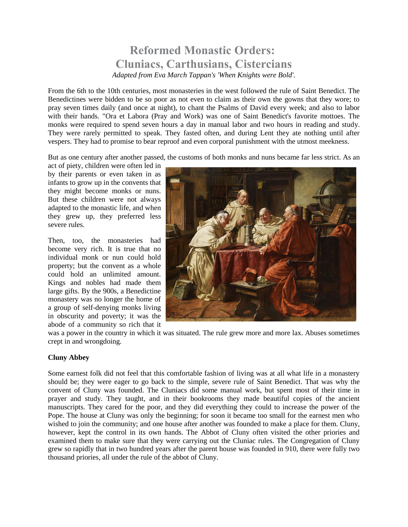# **Reformed Monastic Orders: Cluniacs, Carthusians, Cistercians** *Adapted from Eva March Tappan's 'When Knights were Bold'.*

From the 6th to the 10th centuries, most monasteries in the west followed the rule of Saint Benedict. The Benedictines were bidden to be so poor as not even to claim as their own the gowns that they wore; to pray seven times daily (and once at night), to chant the Psalms of David every week; and also to labor with their hands. "Ora et Labora (Pray and Work) was one of Saint Benedict's favorite mottoes. The monks were required to spend seven hours a day in manual labor and two hours in reading and study. They were rarely permitted to speak. They fasted often, and during Lent they ate nothing until after vespers. They had to promise to bear reproof and even corporal punishment with the utmost meekness.

But as one century after another passed, the customs of both monks and nuns became far less strict. As an

act of piety, children were often led in by their parents or even taken in as infants to grow up in the convents that they might become monks or nuns. But these children were not always adapted to the monastic life, and when they grew up, they preferred less severe rules.

Then, too, the monasteries had become very rich. It is true that no individual monk or nun could hold property; but the convent as a whole could hold an unlimited amount. Kings and nobles had made them large gifts. By the 900s, a Benedictine monastery was no longer the home of a group of self-denying monks living in obscurity and poverty; it was the abode of a community so rich that it



was a power in the country in which it was situated. The rule grew more and more lax. Abuses sometimes crept in and wrongdoing.

## **Cluny Abbey**

Some earnest folk did not feel that this comfortable fashion of living was at all what life in a monastery should be; they were eager to go back to the simple, severe rule of Saint Benedict. That was why the convent of Cluny was founded. The Cluniacs did some manual work, but spent most of their time in prayer and study. They taught, and in their bookrooms they made beautiful copies of the ancient manuscripts. They cared for the poor, and they did everything they could to increase the power of the Pope. The house at Cluny was only the beginning; for soon it became too small for the earnest men who wished to join the community; and one house after another was founded to make a place for them. Cluny, however, kept the control in its own hands. The Abbot of Cluny often visited the other priories and examined them to make sure that they were carrying out the Cluniac rules. The Congregation of Cluny grew so rapidly that in two hundred years after the parent house was founded in 910, there were fully two thousand priories, all under the rule of the abbot of Cluny.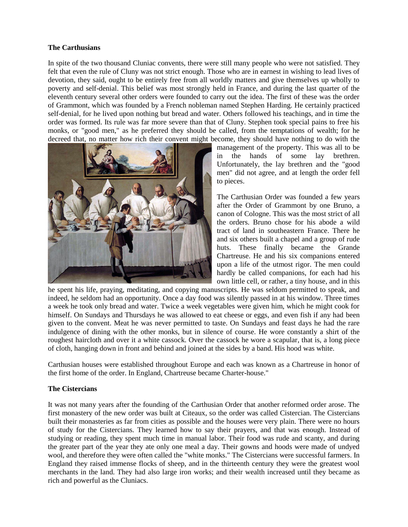## **The Carthusians**

In spite of the two thousand Cluniac convents, there were still many people who were not satisfied. They felt that even the rule of Cluny was not strict enough. Those who are in earnest in wishing to lead lives of devotion, they said, ought to be entirely free from all worldly matters and give themselves up wholly to poverty and self-denial. This belief was most strongly held in France, and during the last quarter of the eleventh century several other orders were founded to carry out the idea. The first of these was the order of Grammont, which was founded by a French nobleman named Stephen Harding. He certainly practiced self-denial, for he lived upon nothing but bread and water. Others followed his teachings, and in time the order was formed. Its rule was far more severe than that of Cluny. Stephen took special pains to free his monks, or "good men," as he preferred they should be called, from the temptations of wealth; for he decreed that, no matter how rich their convent might become, they should have nothing to do with the



management of the property. This was all to be in the hands of some lay brethren. Unfortunately, the lay brethren and the "good men" did not agree, and at length the order fell to pieces.

The Carthusian Order was founded a few years after the Order of Grammont by one Bruno, a canon of Cologne. This was the most strict of all the orders. Bruno chose for his abode a wild tract of land in southeastern France. There he and six others built a chapel and a group of rude huts. These finally became the Grande Chartreuse. He and his six companions entered upon a life of the utmost rigor. The men could hardly be called companions, for each had his own little cell, or rather, a tiny house, and in this

he spent his life, praying, meditating, and copying manuscripts. He was seldom permitted to speak, and indeed, he seldom had an opportunity. Once a day food was silently passed in at his window. Three times a week he took only bread and water. Twice a week vegetables were given him, which he might cook for himself. On Sundays and Thursdays he was allowed to eat cheese or eggs, and even fish if any had been given to the convent. Meat he was never permitted to taste. On Sundays and feast days he had the rare indulgence of dining with the other monks, but in silence of course. He wore constantly a shirt of the roughest haircloth and over it a white cassock. Over the cassock he wore a scapular, that is, a long piece of cloth, hanging down in front and behind and joined at the sides by a band. His hood was white.

Carthusian houses were established throughout Europe and each was known as a Chartreuse in honor of the first home of the order. In England, Chartreuse became Charter-house."

## **The Cistercians**

It was not many years after the founding of the Carthusian Order that another reformed order arose. The first monastery of the new order was built at Citeaux, so the order was called Cistercian. The Cistercians built their monasteries as far from cities as possible and the houses were very plain. There were no hours of study for the Cistercians. They learned how to say their prayers, and that was enough. Instead of studying or reading, they spent much time in manual labor. Their food was rude and scanty, and during the greater part of the year they ate only one meal a day. Their gowns and hoods were made of undyed wool, and therefore they were often called the "white monks." The Cistercians were successful farmers. In England they raised immense flocks of sheep, and in the thirteenth century they were the greatest wool merchants in the land. They had also large iron works; and their wealth increased until they became as rich and powerful as the Cluniacs.